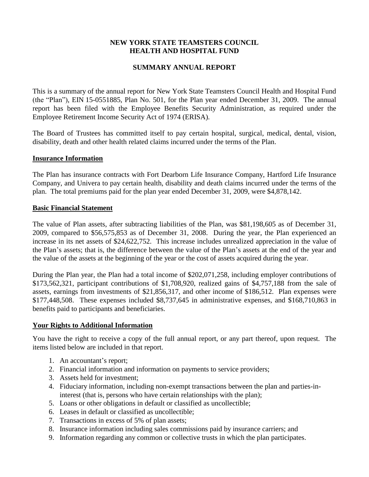# **NEW YORK STATE TEAMSTERS COUNCIL HEALTH AND HOSPITAL FUND**

## **SUMMARY ANNUAL REPORT**

This is a summary of the annual report for New York State Teamsters Council Health and Hospital Fund (the "Plan"), EIN 15-0551885, Plan No. 501, for the Plan year ended December 31, 2009. The annual report has been filed with the Employee Benefits Security Administration, as required under the Employee Retirement Income Security Act of 1974 (ERISA).

The Board of Trustees has committed itself to pay certain hospital, surgical, medical, dental, vision, disability, death and other health related claims incurred under the terms of the Plan.

#### **Insurance Information**

The Plan has insurance contracts with Fort Dearborn Life Insurance Company, Hartford Life Insurance Company, and Univera to pay certain health, disability and death claims incurred under the terms of the plan. The total premiums paid for the plan year ended December 31, 2009, were \$4,878,142.

#### **Basic Financial Statement**

The value of Plan assets, after subtracting liabilities of the Plan, was \$81,198,605 as of December 31, 2009, compared to \$56,575,853 as of December 31, 2008. During the year, the Plan experienced an increase in its net assets of \$24,622,752. This increase includes unrealized appreciation in the value of the Plan's assets; that is, the difference between the value of the Plan's assets at the end of the year and the value of the assets at the beginning of the year or the cost of assets acquired during the year.

During the Plan year, the Plan had a total income of \$202,071,258, including employer contributions of \$173,562,321, participant contributions of \$1,708,920, realized gains of \$4,757,188 from the sale of assets, earnings from investments of \$21,856,317, and other income of \$186,512. Plan expenses were \$177,448,508. These expenses included \$8,737,645 in administrative expenses, and \$168,710,863 in benefits paid to participants and beneficiaries.

### **Your Rights to Additional Information**

You have the right to receive a copy of the full annual report, or any part thereof, upon request. The items listed below are included in that report.

- 1. An accountant's report;
- 2. Financial information and information on payments to service providers;
- 3. Assets held for investment;
- 4. Fiduciary information, including non-exempt transactions between the plan and parties-ininterest (that is, persons who have certain relationships with the plan);
- 5. Loans or other obligations in default or classified as uncollectible;
- 6. Leases in default or classified as uncollectible;
- 7. Transactions in excess of 5% of plan assets;
- 8. Insurance information including sales commissions paid by insurance carriers; and
- 9. Information regarding any common or collective trusts in which the plan participates.